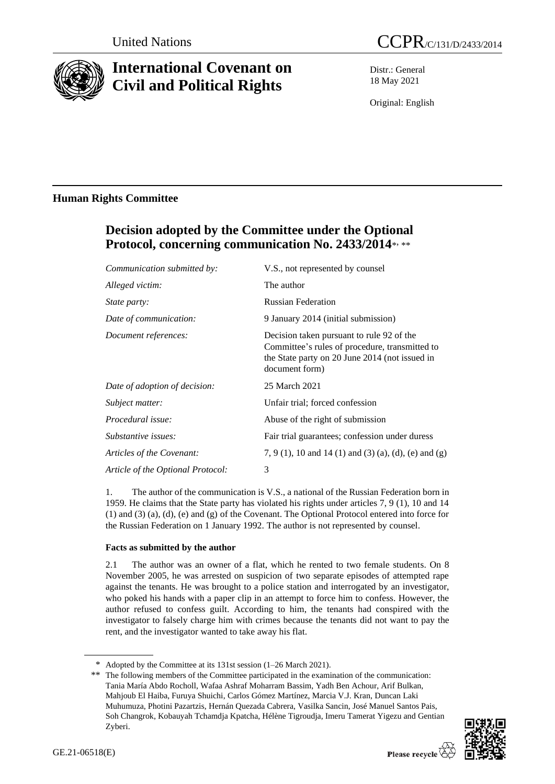

# **International Covenant on Civil and Political Rights**

Distr.: General 18 May 2021

Original: English

# **Human Rights Committee**

# **Decision adopted by the Committee under the Optional**  Protocol, concerning communication No. 2433/2014\*,\*\*

| Communication submitted by:       | V.S., not represented by counsel                                                                                                                                |
|-----------------------------------|-----------------------------------------------------------------------------------------------------------------------------------------------------------------|
| Alleged victim:                   | The author                                                                                                                                                      |
| <i>State party:</i>               | <b>Russian Federation</b>                                                                                                                                       |
| Date of communication:            | 9 January 2014 (initial submission)                                                                                                                             |
| Document references:              | Decision taken pursuant to rule 92 of the<br>Committee's rules of procedure, transmitted to<br>the State party on 20 June 2014 (not issued in<br>document form) |
| Date of adoption of decision:     | 25 March 2021                                                                                                                                                   |
| Subject matter:                   | Unfair trial; forced confession                                                                                                                                 |
| Procedural issue:                 | Abuse of the right of submission                                                                                                                                |
| Substantive issues:               | Fair trial guarantees; confession under duress                                                                                                                  |
| Articles of the Covenant:         | 7, 9 (1), 10 and 14 (1) and (3) (a), (d), (e) and (g)                                                                                                           |
| Article of the Optional Protocol: | 3                                                                                                                                                               |
|                                   |                                                                                                                                                                 |

1. The author of the communication is V.S., a national of the Russian Federation born in 1959. He claims that the State party has violated his rights under articles 7, 9 (1), 10 and 14 (1) and (3) (a), (d), (e) and (g) of the Covenant. The Optional Protocol entered into force for the Russian Federation on 1 January 1992. The author is not represented by counsel.

## **Facts as submitted by the author**

2.1 The author was an owner of a flat, which he rented to two female students. On 8 November 2005, he was arrested on suspicion of two separate episodes of attempted rape against the tenants. He was brought to a police station and interrogated by an investigator, who poked his hands with a paper clip in an attempt to force him to confess. However, the author refused to confess guilt. According to him, the tenants had conspired with the investigator to falsely charge him with crimes because the tenants did not want to pay the rent, and the investigator wanted to take away his flat.

<sup>\*\*</sup> The following members of the Committee participated in the examination of the communication: Tania María Abdo Rocholl, Wafaa Ashraf Moharram Bassim, Yadh Ben Achour, Arif Bulkan, Mahjoub El Haiba, Furuya Shuichi, Carlos Gómez Martínez, Marcia V.J. Kran, Duncan Laki Muhumuza, Photini Pazartzis, Hernán Quezada Cabrera, Vasilka Sancin, José Manuel Santos Pais, Soh Changrok, Kobauyah Tchamdja Kpatcha, Hélène Tigroudja, Imeru Tamerat Yigezu and Gentian Zyberi.



<sup>\*</sup> Adopted by the Committee at its 131st session (1–26 March 2021).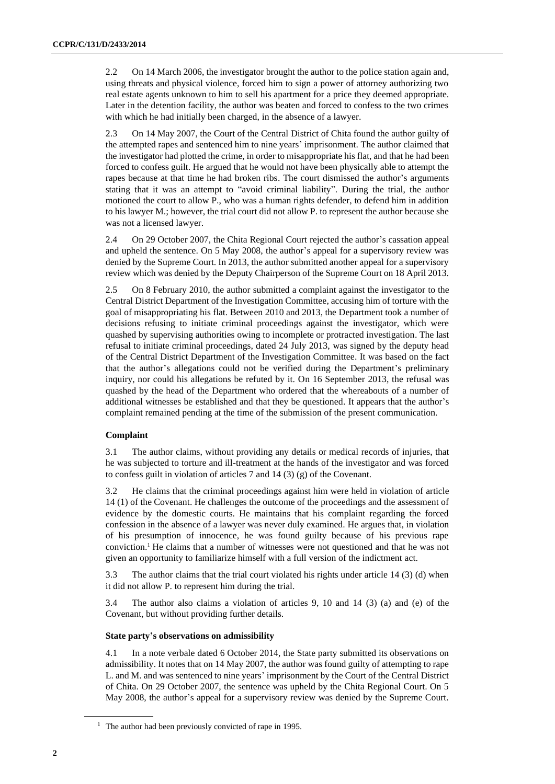2.2 On 14 March 2006, the investigator brought the author to the police station again and, using threats and physical violence, forced him to sign a power of attorney authorizing two real estate agents unknown to him to sell his apartment for a price they deemed appropriate. Later in the detention facility, the author was beaten and forced to confess to the two crimes with which he had initially been charged, in the absence of a lawyer.

2.3 On 14 May 2007, the Court of the Central District of Chita found the author guilty of the attempted rapes and sentenced him to nine years' imprisonment. The author claimed that the investigator had plotted the crime, in order to misappropriate his flat, and that he had been forced to confess guilt. He argued that he would not have been physically able to attempt the rapes because at that time he had broken ribs. The court dismissed the author's arguments stating that it was an attempt to "avoid criminal liability". During the trial, the author motioned the court to allow P., who was a human rights defender, to defend him in addition to his lawyer M.; however, the trial court did not allow P. to represent the author because she was not a licensed lawyer.

2.4 On 29 October 2007, the Chita Regional Court rejected the author's cassation appeal and upheld the sentence. On 5 May 2008, the author's appeal for a supervisory review was denied by the Supreme Court. In 2013, the author submitted another appeal for a supervisory review which was denied by the Deputy Chairperson of the Supreme Court on 18 April 2013.

2.5 On 8 February 2010, the author submitted a complaint against the investigator to the Central District Department of the Investigation Committee, accusing him of torture with the goal of misappropriating his flat. Between 2010 and 2013, the Department took a number of decisions refusing to initiate criminal proceedings against the investigator, which were quashed by supervising authorities owing to incomplete or protracted investigation. The last refusal to initiate criminal proceedings, dated 24 July 2013, was signed by the deputy head of the Central District Department of the Investigation Committee. It was based on the fact that the author's allegations could not be verified during the Department's preliminary inquiry, nor could his allegations be refuted by it. On 16 September 2013, the refusal was quashed by the head of the Department who ordered that the whereabouts of a number of additional witnesses be established and that they be questioned. It appears that the author's complaint remained pending at the time of the submission of the present communication.

### **Complaint**

3.1 The author claims, without providing any details or medical records of injuries, that he was subjected to torture and ill-treatment at the hands of the investigator and was forced to confess guilt in violation of articles 7 and 14 (3) (g) of the Covenant.

3.2 He claims that the criminal proceedings against him were held in violation of article 14 (1) of the Covenant. He challenges the outcome of the proceedings and the assessment of evidence by the domestic courts. He maintains that his complaint regarding the forced confession in the absence of a lawyer was never duly examined. He argues that, in violation of his presumption of innocence, he was found guilty because of his previous rape conviction.<sup>1</sup> He claims that a number of witnesses were not questioned and that he was not given an opportunity to familiarize himself with a full version of the indictment act.

3.3 The author claims that the trial court violated his rights under article 14 (3) (d) when it did not allow P. to represent him during the trial.

3.4 The author also claims a violation of articles 9, 10 and 14 (3) (a) and (e) of the Covenant, but without providing further details.

#### **State party's observations on admissibility**

4.1 In a note verbale dated 6 October 2014, the State party submitted its observations on admissibility. It notes that on 14 May 2007, the author was found guilty of attempting to rape L. and M. and was sentenced to nine years' imprisonment by the Court of the Central District of Chita. On 29 October 2007, the sentence was upheld by the Chita Regional Court. On 5 May 2008, the author's appeal for a supervisory review was denied by the Supreme Court.

<sup>&</sup>lt;sup>1</sup> The author had been previously convicted of rape in 1995.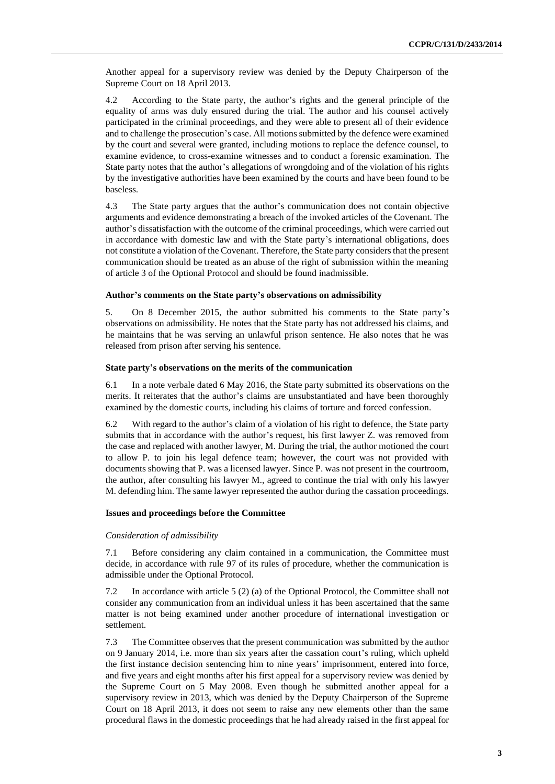Another appeal for a supervisory review was denied by the Deputy Chairperson of the Supreme Court on 18 April 2013.

4.2 According to the State party, the author's rights and the general principle of the equality of arms was duly ensured during the trial. The author and his counsel actively participated in the criminal proceedings, and they were able to present all of their evidence and to challenge the prosecution's case. All motions submitted by the defence were examined by the court and several were granted, including motions to replace the defence counsel, to examine evidence, to cross-examine witnesses and to conduct a forensic examination. The State party notes that the author's allegations of wrongdoing and of the violation of his rights by the investigative authorities have been examined by the courts and have been found to be baseless.

4.3 The State party argues that the author's communication does not contain objective arguments and evidence demonstrating a breach of the invoked articles of the Covenant. The author's dissatisfaction with the outcome of the criminal proceedings, which were carried out in accordance with domestic law and with the State party's international obligations, does not constitute a violation of the Covenant. Therefore, the State party considers that the present communication should be treated as an abuse of the right of submission within the meaning of article 3 of the Optional Protocol and should be found inadmissible.

#### **Author's comments on the State party's observations on admissibility**

5. On 8 December 2015, the author submitted his comments to the State party's observations on admissibility. He notes that the State party has not addressed his claims, and he maintains that he was serving an unlawful prison sentence. He also notes that he was released from prison after serving his sentence.

#### **State party's observations on the merits of the communication**

6.1 In a note verbale dated 6 May 2016, the State party submitted its observations on the merits. It reiterates that the author's claims are unsubstantiated and have been thoroughly examined by the domestic courts, including his claims of torture and forced confession.

6.2 With regard to the author's claim of a violation of his right to defence, the State party submits that in accordance with the author's request, his first lawyer Z. was removed from the case and replaced with another lawyer, M. During the trial, the author motioned the court to allow P. to join his legal defence team; however, the court was not provided with documents showing that P. was a licensed lawyer. Since P. was not present in the courtroom, the author, after consulting his lawyer M., agreed to continue the trial with only his lawyer M. defending him. The same lawyer represented the author during the cassation proceedings.

#### **Issues and proceedings before the Committee**

#### *Consideration of admissibility*

7.1 Before considering any claim contained in a communication, the Committee must decide, in accordance with rule 97 of its rules of procedure, whether the communication is admissible under the Optional Protocol.

7.2 In accordance with article 5 (2) (a) of the Optional Protocol, the Committee shall not consider any communication from an individual unless it has been ascertained that the same matter is not being examined under another procedure of international investigation or settlement.

7.3 The Committee observes that the present communication was submitted by the author on 9 January 2014, i.e. more than six years after the cassation court's ruling, which upheld the first instance decision sentencing him to nine years' imprisonment, entered into force, and five years and eight months after his first appeal for a supervisory review was denied by the Supreme Court on 5 May 2008. Even though he submitted another appeal for a supervisory review in 2013, which was denied by the Deputy Chairperson of the Supreme Court on 18 April 2013, it does not seem to raise any new elements other than the same procedural flaws in the domestic proceedings that he had already raised in the first appeal for